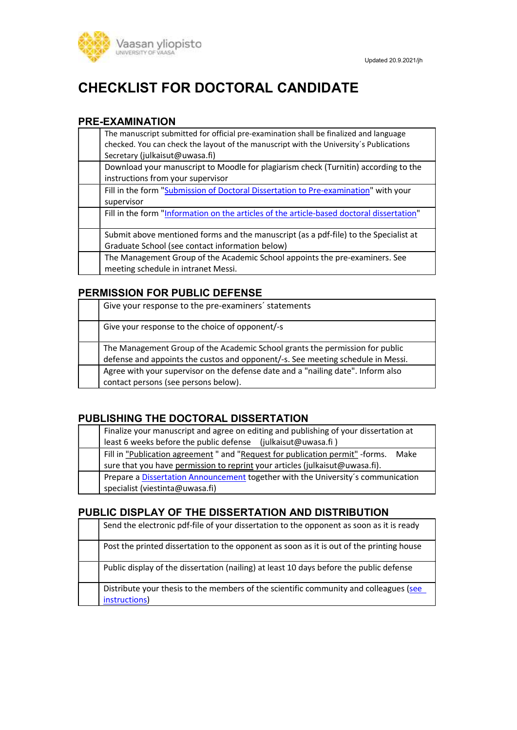

# CHECKLIST FOR DOCTORAL CANDIDATE

#### PRE-EXAMINATION

| The manuscript submitted for official pre-examination shall be finalized and language<br>checked. You can check the layout of the manuscript with the University's Publications<br>Secretary (julkaisut@uwasa.fi) |
|-------------------------------------------------------------------------------------------------------------------------------------------------------------------------------------------------------------------|
| Download your manuscript to Moodle for plagiarism check (Turnitin) according to the<br>instructions from your supervisor                                                                                          |
| Fill in the form "Submission of Doctoral Dissertation to Pre-examination" with your<br>supervisor                                                                                                                 |
| Fill in the form "Information on the articles of the article-based doctoral dissertation"                                                                                                                         |
| Submit above mentioned forms and the manuscript (as a pdf-file) to the Specialist at<br>Graduate School (see contact information below)                                                                           |
| The Management Group of the Academic School appoints the pre-examiners. See<br>meeting schedule in intranet Messi.                                                                                                |

## PERMISSION FOR PUBLIC DEFENSE

| Give your response to the pre-examiners' statements                                                                                                             |
|-----------------------------------------------------------------------------------------------------------------------------------------------------------------|
| Give your response to the choice of opponent/-s                                                                                                                 |
| The Management Group of the Academic School grants the permission for public<br>defense and appoints the custos and opponent/-s. See meeting schedule in Messi. |
| Agree with your supervisor on the defense date and a "nailing date". Inform also<br>contact persons (see persons below).                                        |

#### PUBLISHING THE DOCTORAL DISSERTATION

| Finalize your manuscript and agree on editing and publishing of your dissertation at  |
|---------------------------------------------------------------------------------------|
| least 6 weeks before the public defense (julkaisut@uwasa.fi)                          |
| Fill in "Publication agreement" and "Request for publication permit" - forms.<br>Make |
| sure that you have permission to reprint your articles (julkaisut@uwasa.fi).          |
| Prepare a Dissertation Announcement together with the University's communication      |
| specialist (viestinta@uwasa.fi)                                                       |

#### PUBLIC DISPLAY OF THE DISSERTATION AND DISTRIBUTION

| Send the electronic pdf-file of your dissertation to the opponent as soon as it is ready               |
|--------------------------------------------------------------------------------------------------------|
| Post the printed dissertation to the opponent as soon as it is out of the printing house               |
| Public display of the dissertation (nailing) at least 10 days before the public defense                |
| Distribute your thesis to the members of the scientific community and colleagues (see<br>instructions) |